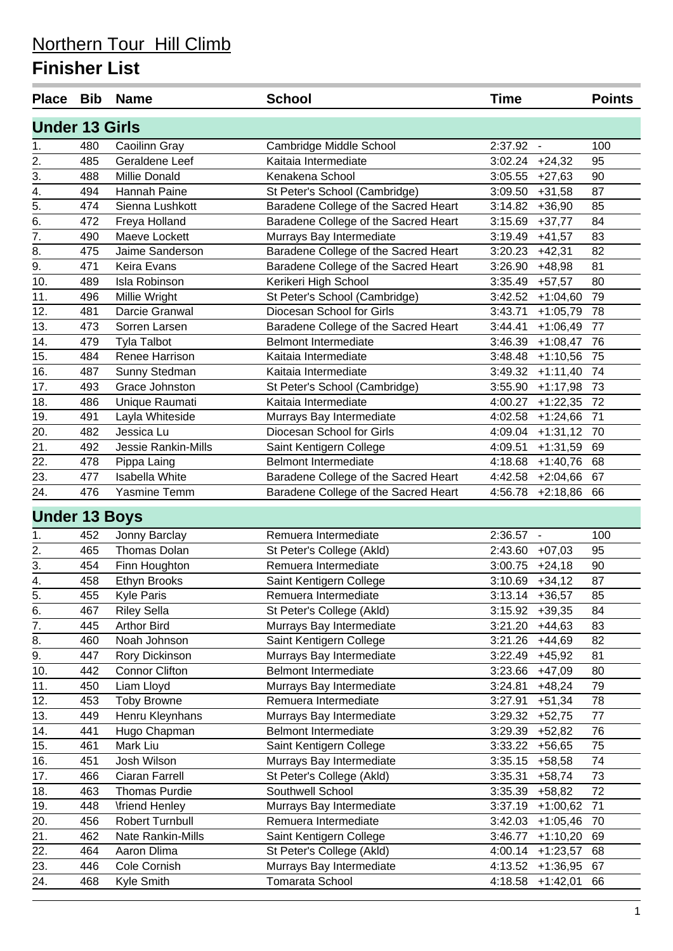| Place Bib             |     | <b>Name</b>           | <b>School</b>                        | <b>Time</b>           | <b>Points</b> |
|-----------------------|-----|-----------------------|--------------------------------------|-----------------------|---------------|
| <b>Under 13 Girls</b> |     |                       |                                      |                       |               |
| 1.                    | 480 | Caoilinn Gray         | Cambridge Middle School              | 2:37.92 -             | 100           |
| 2.                    | 485 | Geraldene Leef        | Kaitaia Intermediate                 | $3:02.24$ +24,32      | 95            |
| 3.                    | 488 | Millie Donald         | Kenakena School                      | 3:05.55<br>$+27,63$   | 90            |
| 4.                    | 494 | Hannah Paine          | St Peter's School (Cambridge)        | 3:09.50<br>$+31,58$   | 87            |
| $\overline{5}$ .      | 474 | Sienna Lushkott       | Baradene College of the Sacred Heart | $+36,90$<br>3:14.82   | 85            |
| $\overline{6}$ .      | 472 | Freya Holland         | Baradene College of the Sacred Heart | 3:15.69<br>$+37,77$   | 84            |
| 7.                    | 490 | Maeve Lockett         | Murrays Bay Intermediate             | 3:19.49<br>$+41,57$   | 83            |
| 8.                    | 475 | Jaime Sanderson       | Baradene College of the Sacred Heart | 3:20.23<br>$+42,31$   | 82            |
| $\overline{9}$ .      | 471 | Keira Evans           | Baradene College of the Sacred Heart | 3:26.90<br>$+48,98$   | 81            |
| 10.                   | 489 | Isla Robinson         | Kerikeri High School                 | 3:35.49<br>$+57,57$   | 80            |
| 11.                   | 496 | Millie Wright         | St Peter's School (Cambridge)        | 3:42.52<br>$+1:04,60$ | 79            |
| 12.                   | 481 | Darcie Granwal        | Diocesan School for Girls            | 3:43.71<br>$+1:05,79$ | 78            |
| 13.                   | 473 | Sorren Larsen         | Baradene College of the Sacred Heart | 3:44.41<br>$+1:06,49$ | 77            |
| 14.                   | 479 | <b>Tyla Talbot</b>    | <b>Belmont Intermediate</b>          | 3:46.39<br>$+1:08,47$ | 76            |
| 15.                   | 484 | Renee Harrison        | Kaitaia Intermediate                 | 3:48.48<br>$+1:10,56$ | 75            |
| 16.                   | 487 | Sunny Stedman         | Kaitaia Intermediate                 | 3:49.32<br>$+1:11,40$ | 74            |
| 17.                   | 493 | Grace Johnston        | St Peter's School (Cambridge)        | 3:55.90<br>$+1:17,98$ | 73            |
| 18.                   | 486 | Unique Raumati        | Kaitaia Intermediate                 | 4:00.27<br>$+1:22,35$ | 72            |
| 19.                   | 491 | Layla Whiteside       | Murrays Bay Intermediate             | 4:02.58<br>$+1:24,66$ | 71            |
| 20.                   | 482 | Jessica Lu            | Diocesan School for Girls            | 4:09.04<br>$+1:31,12$ | 70            |
| 21.                   | 492 | Jessie Rankin-Mills   | Saint Kentigern College              | 4:09.51<br>$+1:31,59$ | 69            |
| 22.                   | 478 | Pippa Laing           | <b>Belmont Intermediate</b>          | 4:18.68<br>$+1:40,76$ | 68            |
| 23.                   | 477 | Isabella White        | Baradene College of the Sacred Heart | 4:42.58<br>$+2:04,66$ | 67            |
| 24.                   | 476 | Yasmine Temm          | Baradene College of the Sacred Heart | 4:56.78<br>$+2:18,86$ | 66            |
| <b>Under 13 Boys</b>  |     |                       |                                      |                       |               |
| 1.                    | 452 | Jonny Barclay         | Remuera Intermediate                 | $2:36.57 -$           | 100           |
| 2.                    | 465 | Thomas Dolan          | St Peter's College (Akld)            | 2:43.60 +07,03        | 95            |
| $\overline{3}$ .      | 454 | Finn Houghton         | Remuera Intermediate                 | 3:00.75<br>$+24,18$   | 90            |
| $\overline{4}$ .      | 458 | Ethyn Brooks          | Saint Kentigern College              | $+34,12$<br>3:10.69   | 87            |
| $\overline{5}$ .      | 455 | Kyle Paris            | Remuera Intermediate                 | $3:13.14$ +36,57      | 85            |
| 6.                    | 467 | <b>Riley Sella</b>    | St Peter's College (Akld)            | $3:15.92 + 39.35$     | 84            |
| 7.                    | 445 | <b>Arthor Bird</b>    | Murrays Bay Intermediate             | $3:21.20 +44,63$      | 83            |
| 8.                    | 460 | Noah Johnson          | Saint Kentigern College              | 3:21.26<br>$+44,69$   | 82            |
| 9.                    | 447 | Rory Dickinson        | Murrays Bay Intermediate             | 3:22.49<br>$+45,92$   | 81            |
| 10.                   | 442 | <b>Connor Clifton</b> | <b>Belmont Intermediate</b>          | 3:23.66<br>$+47,09$   | 80            |
| 11.                   | 450 | Liam Lloyd            | Murrays Bay Intermediate             | 3:24.81<br>$+48,24$   | 79            |
| 12.                   | 453 | <b>Toby Browne</b>    | Remuera Intermediate                 | 3:27.91<br>$+51,34$   | 78            |
| 13.                   | 449 | Henru Kleynhans       | Murrays Bay Intermediate             | 3:29.32<br>$+52,75$   | 77            |
| 14.                   | 441 | Hugo Chapman          | Belmont Intermediate                 | 3:29.39<br>$+52,82$   | 76            |
| 15.                   | 461 | Mark Liu              | Saint Kentigern College              | 3:33.22<br>$+56,65$   | 75            |
| 16.                   | 451 | Josh Wilson           | Murrays Bay Intermediate             | 3:35.15<br>$+58,58$   | 74            |
| 17.                   | 466 | Ciaran Farrell        | St Peter's College (Akld)            | 3:35.31<br>$+58,74$   | 73            |
| 18.                   | 463 | Thomas Purdie         | Southwell School                     | 3:35.39<br>$+58,82$   | 72            |
| 19.                   | 448 | <b>\friend Henley</b> | Murrays Bay Intermediate             | 3:37.19<br>$+1:00,62$ | 71            |
| 20.                   | 456 | Robert Turnbull       | Remuera Intermediate                 | 3:42.03<br>$+1:05,46$ | 70            |
| 21.                   | 462 | Nate Rankin-Mills     | Saint Kentigern College              | 3:46.77<br>$+1:10,20$ | 69            |
| 22.                   | 464 | Aaron Dlima           | St Peter's College (Akld)            | 4:00.14<br>$+1:23,57$ | 68            |
| 23.                   | 446 | Cole Cornish          | Murrays Bay Intermediate             | 4:13.52<br>$+1:36,95$ | 67            |
| 24.                   | 468 | Kyle Smith            | Tomarata School                      | 4:18.58<br>$+1:42,01$ | 66            |
|                       |     |                       |                                      |                       |               |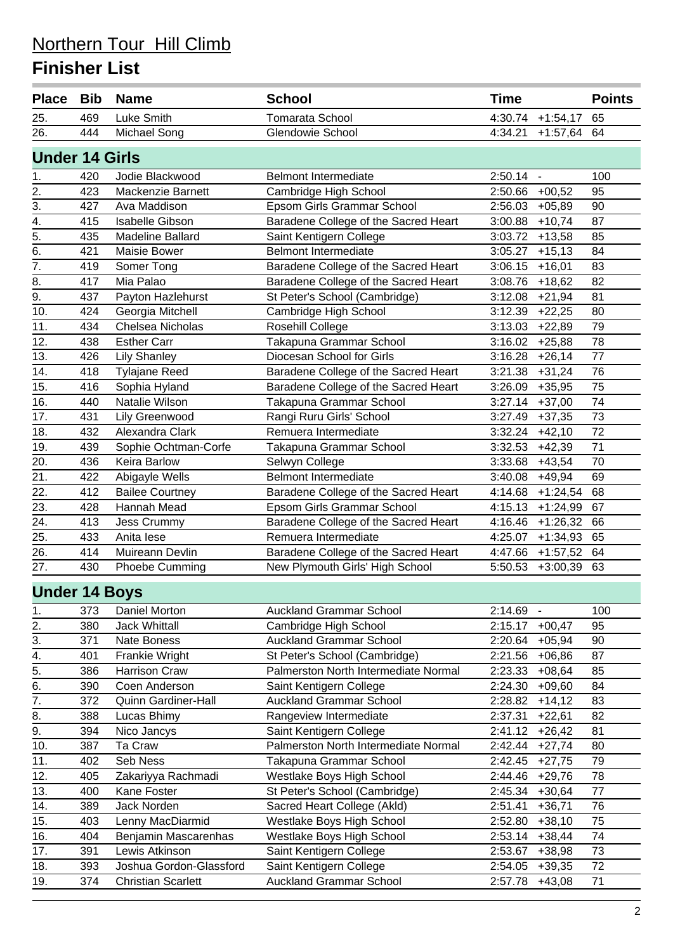| <b>Place</b>          | <b>Bib</b> | <b>Name</b>               | <b>School</b>                        | <b>Time</b>               | <b>Points</b> |
|-----------------------|------------|---------------------------|--------------------------------------|---------------------------|---------------|
| 25.                   | 469        | Luke Smith                | <b>Tomarata School</b>               | 4:30.74<br>$+1:54,17$     | 65            |
| 26.                   | 444        | Michael Song              | Glendowie School                     | 4:34.21<br>$+1:57,64$     | 64            |
| <b>Under 14 Girls</b> |            |                           |                                      |                           |               |
| 1.                    | 420        | Jodie Blackwood           | <b>Belmont Intermediate</b>          | 2:50.14<br>$\blacksquare$ | 100           |
| $\overline{2}$ .      | 423        | Mackenzie Barnett         | Cambridge High School                | 2:50.66<br>$+00,52$       | 95            |
| $\overline{3}$ .      | 427        | Ava Maddison              | Epsom Girls Grammar School           | 2:56.03<br>$+05,89$       | 90            |
| 4.                    | 415        | <b>Isabelle Gibson</b>    | Baradene College of the Sacred Heart | $+10,74$<br>3:00.88       | 87            |
| $\overline{5}$ .      | 435        | Madeline Ballard          | Saint Kentigern College              | 3:03.72<br>$+13,58$       | 85            |
| $\overline{6}$ .      | 421        | Maisie Bower              | <b>Belmont Intermediate</b>          | 3:05.27<br>$+15,13$       | 84            |
| $\overline{7}$ .      | 419        | Somer Tong                | Baradene College of the Sacred Heart | 3:06.15<br>$+16,01$       | 83            |
| 8.                    | 417        | Mia Palao                 | Baradene College of the Sacred Heart | 3:08.76<br>$+18,62$       | 82            |
| 9.                    | 437        | Payton Hazlehurst         | St Peter's School (Cambridge)        | 3:12.08<br>$+21,94$       | 81            |
| 10.                   | 424        | Georgia Mitchell          | Cambridge High School                | 3:12.39<br>$+22,25$       | 80            |
| 11.                   | 434        | Chelsea Nicholas          | Rosehill College                     | 3:13.03<br>$+22,89$       | 79            |
| 12.                   | 438        | <b>Esther Carr</b>        | Takapuna Grammar School              | 3:16.02<br>$+25,88$       | 78            |
| 13.                   | 426        | <b>Lily Shanley</b>       | Diocesan School for Girls            | 3:16.28<br>$+26,14$       | 77            |
| 14.                   | 418        | <b>Tylajane Reed</b>      | Baradene College of the Sacred Heart | 3:21.38<br>$+31,24$       | 76            |
| 15.                   | 416        | Sophia Hyland             | Baradene College of the Sacred Heart | 3:26.09<br>$+35,95$       | 75            |
| 16.                   | 440        | Natalie Wilson            | Takapuna Grammar School              | 3:27.14<br>$+37,00$       | 74            |
| 17.                   | 431        | Lily Greenwood            | Rangi Ruru Girls' School             | 3:27.49<br>$+37,35$       | 73            |
| 18.                   | 432        | Alexandra Clark           | Remuera Intermediate                 | 3:32.24<br>$+42,10$       | 72            |
| 19.                   | 439        | Sophie Ochtman-Corfe      | Takapuna Grammar School              | 3:32.53<br>$+42,39$       | 71            |
| 20.                   | 436        | Keira Barlow              | Selwyn College                       | 3:33.68<br>$+43,54$       | 70            |
| 21.                   | 422        | Abigayle Wells            | <b>Belmont Intermediate</b>          | 3:40.08<br>$+49,94$       | 69            |
| 22.                   | 412        | <b>Bailee Courtney</b>    | Baradene College of the Sacred Heart | 4:14.68<br>$+1:24,54$     | 68            |
| 23.                   | 428        | Hannah Mead               | Epsom Girls Grammar School           | 4:15.13<br>$+1:24,99$     | 67            |
| $\overline{24}$ .     | 413        | Jess Crummy               | Baradene College of the Sacred Heart | 4:16.46<br>$+1:26,32$     | 66            |
| 25.                   | 433        | Anita lese                | Remuera Intermediate                 | 4:25.07<br>$+1:34,93$     | 65            |
| 26.                   | 414        | Muireann Devlin           | Baradene College of the Sacred Heart | 4:47.66<br>$+1:57,52$     | 64            |
| 27.                   | 430        | Phoebe Cumming            | New Plymouth Girls' High School      | 5:50.53<br>$+3:00,39$     | 63            |
| <b>Under 14 Boys</b>  |            |                           |                                      |                           |               |
| 1.                    | 373        | Daniel Morton             | <b>Auckland Grammar School</b>       | 2:14.69<br>$\blacksquare$ | 100           |
| 2.                    | 380        | <b>Jack Whittall</b>      | Cambridge High School                | 2:15.17<br>$+00,47$       | 95            |
| 3.                    | 371        | Nate Boness               | <b>Auckland Grammar School</b>       | 2:20.64<br>$+05,94$       | 90            |
| 4.                    | 401        | Frankie Wright            | St Peter's School (Cambridge)        | 2:21.56<br>$+06,86$       | 87            |
| 5.                    | 386        | <b>Harrison Craw</b>      | Palmerston North Intermediate Normal | 2:23.33<br>$+08,64$       | 85            |
| 6.                    | 390        | Coen Anderson             | Saint Kentigern College              | 2:24.30<br>$+09,60$       | 84            |
| 7.                    | 372        | Quinn Gardiner-Hall       | <b>Auckland Grammar School</b>       | 2:28.82<br>$+14,12$       | 83            |
| 8.                    | 388        | Lucas Bhimy               | Rangeview Intermediate               | 2:37.31<br>$+22,61$       | 82            |
| 9.                    | 394        | Nico Jancys               | Saint Kentigern College              | 2:41.12<br>$+26,42$       | 81            |
| 10.                   | 387        | Ta Craw                   | Palmerston North Intermediate Normal | 2:42.44<br>$+27,74$       | 80            |
| 11.                   | 402        | Seb Ness                  | Takapuna Grammar School              | 2:42.45<br>$+27,75$       | 79            |
| 12.                   | 405        | Zakariyya Rachmadi        | Westlake Boys High School            | 2:44.46<br>$+29,76$       | 78            |
| 13.                   | 400        | Kane Foster               | St Peter's School (Cambridge)        | 2:45.34<br>$+30,64$       | 77            |
| 14.                   | 389        | <b>Jack Norden</b>        | Sacred Heart College (Akld)          | 2:51.41<br>$+36,71$       | 76            |
| 15.                   | 403        | Lenny MacDiarmid          | Westlake Boys High School            | 2:52.80<br>$+38,10$       | 75            |
| 16.                   | 404        | Benjamin Mascarenhas      | Westlake Boys High School            | 2:53.14<br>$+38,44$       | 74            |
| 17.                   | 391        | Lewis Atkinson            | Saint Kentigern College              | 2:53.67<br>$+38,98$       | 73            |
| 18.                   | 393        | Joshua Gordon-Glassford   | Saint Kentigern College              | 2:54.05<br>$+39,35$       | 72            |
| 19.                   | 374        | <b>Christian Scarlett</b> | <b>Auckland Grammar School</b>       | 2:57.78<br>$+43,08$       | 71            |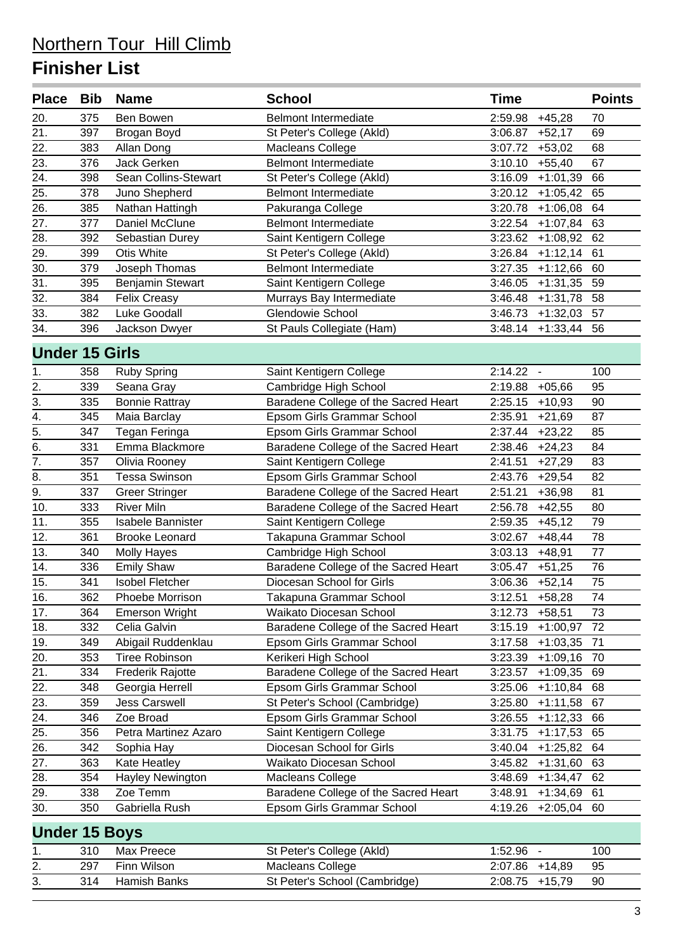| <b>Place</b>          | Bib | <b>Name</b>              | <b>School</b>                        | <b>Time</b>                         | <b>Points</b>   |
|-----------------------|-----|--------------------------|--------------------------------------|-------------------------------------|-----------------|
| 20.                   | 375 | Ben Bowen                | <b>Belmont Intermediate</b>          | 2:59.98<br>$+45,28$                 | 70              |
| 21.                   | 397 | Brogan Boyd              | St Peter's College (Akld)            | 3:06.87<br>$+52,17$                 | 69              |
| 22.                   | 383 | Allan Dong               | Macleans College                     | 3:07.72<br>$+53,02$                 | 68              |
| 23.                   | 376 | Jack Gerken              | <b>Belmont Intermediate</b>          | 3:10.10<br>$+55,40$                 | 67              |
| 24.                   | 398 | Sean Collins-Stewart     | St Peter's College (Akld)            | 3:16.09<br>$+1:01,39$               | 66              |
| 25.                   | 378 | Juno Shepherd            | <b>Belmont Intermediate</b>          | 3:20.12<br>$+1:05,42$               | 65              |
| 26.                   | 385 | Nathan Hattingh          | Pakuranga College                    | 3:20.78<br>$+1:06,08$               | 64              |
| 27.                   | 377 | Daniel McClune           | <b>Belmont Intermediate</b>          | 3:22.54<br>$+1:07,84$               | 63              |
| 28.                   | 392 | Sebastian Durey          | Saint Kentigern College              | 3:23.62<br>$+1:08,92$               | 62              |
| 29.                   | 399 | <b>Otis White</b>        | St Peter's College (Akld)            | 3:26.84<br>$+1:12,14$               | 61              |
| 30.                   | 379 | Joseph Thomas            | <b>Belmont Intermediate</b>          | 3:27.35<br>$+1:12,66$               | 60              |
| 31.                   | 395 | Benjamin Stewart         | Saint Kentigern College              | 3:46.05<br>$+1:31,35$               | 59              |
| 32.                   | 384 | <b>Felix Creasy</b>      | Murrays Bay Intermediate             | 3:46.48<br>$+1:31,78$               | 58              |
| 33.                   | 382 | Luke Goodall             | Glendowie School                     | 3:46.73<br>$+1:32,03$               | 57              |
| 34.                   | 396 | Jackson Dwyer            | St Pauls Collegiate (Ham)            | $3:48.14$ +1:33,44                  | 56              |
| <b>Under 15 Girls</b> |     |                          |                                      |                                     |                 |
| 1.                    | 358 | <b>Ruby Spring</b>       | Saint Kentigern College              | $2:14.22 -$                         | 100             |
|                       | 339 | Seana Gray               | Cambridge High School                | 2:19.88<br>$+05,66$                 | 95              |
| $\frac{2}{3}$         | 335 | <b>Bonnie Rattray</b>    | Baradene College of the Sacred Heart | 2:25.15<br>$+10,93$                 | 90              |
| 4.                    | 345 | Maia Barclay             | Epsom Girls Grammar School           | 2:35.91<br>$+21,69$                 | 87              |
| $\overline{5}$ .      | 347 | Tegan Feringa            | Epsom Girls Grammar School           | 2:37.44<br>$+23,22$                 | 85              |
| $\overline{6}$ .      | 331 | Emma Blackmore           | Baradene College of the Sacred Heart | 2:38.46<br>$+24,23$                 | 84              |
| $\overline{7}$ .      | 357 | Olivia Rooney            | Saint Kentigern College              | 2:41.51<br>$+27,29$                 | 83              |
| 8.                    | 351 | <b>Tessa Swinson</b>     | Epsom Girls Grammar School           | 2:43.76<br>$+29,54$                 | 82              |
| $\overline{9}$ .      | 337 | <b>Greer Stringer</b>    | Baradene College of the Sacred Heart | 2:51.21<br>$+36,98$                 | 81              |
| 10.                   | 333 | <b>River Miln</b>        | Baradene College of the Sacred Heart | 2:56.78<br>$+42,55$                 | 80              |
| 11.                   | 355 | <b>Isabele Bannister</b> | Saint Kentigern College              | 2:59.35<br>$+45,12$                 | 79              |
| 12.                   | 361 | <b>Brooke Leonard</b>    | Takapuna Grammar School              | 3:02.67<br>$+48,44$                 | 78              |
| 13.                   | 340 | <b>Molly Hayes</b>       | Cambridge High School                | 3:03.13<br>$+48,91$                 | 77              |
| 14.                   | 336 | <b>Emily Shaw</b>        | Baradene College of the Sacred Heart | 3:05.47<br>$+51,25$                 | 76              |
| 15.                   | 341 | <b>Isobel Fletcher</b>   | Diocesan School for Girls            | $3:06.36$ +52,14                    | 75              |
| 16.                   | 362 | Phoebe Morrison          | Takapuna Grammar School              | $3:12.51$ +58,28                    | $\overline{74}$ |
| 17.                   | 364 | <b>Emerson Wright</b>    | Waikato Diocesan School              | 3:12.73<br>$+58,51$                 | 73              |
| 18.                   | 332 | Celia Galvin             | Baradene College of the Sacred Heart | 3:15.19<br>$+1:00,97$               | 72              |
| 19.                   | 349 | Abigail Ruddenklau       | Epsom Girls Grammar School           | 3:17.58<br>$+1:03,35$               | 71              |
| 20.                   | 353 | <b>Tiree Robinson</b>    | Kerikeri High School                 | 3:23.39<br>$+1:09,16$               | 70              |
| 21.                   | 334 | Frederik Rajotte         | Baradene College of the Sacred Heart | 3:23.57<br>$+1:09,35$               | 69              |
| 22.                   | 348 | Georgia Herrell          | Epsom Girls Grammar School           | 3:25.06<br>$+1:10,84$               | 68              |
| 23.                   | 359 | <b>Jess Carswell</b>     | St Peter's School (Cambridge)        | 3:25.80<br>$+1:11,58$               | 67              |
| 24.                   | 346 | Zoe Broad                | Epsom Girls Grammar School           | 3:26.55<br>$+1:12,33$               | 66              |
| 25.                   | 356 | Petra Martinez Azaro     | Saint Kentigern College              | 3:31.75<br>$+1:17,53$               | 65              |
| 26.                   | 342 | Sophia Hay               | Diocesan School for Girls            | 3:40.04<br>$+1:25,82$               | 64              |
| 27.                   | 363 | Kate Heatley             | Waikato Diocesan School              | 3:45.82<br>$+1:31,60$               | 63              |
| 28.                   | 354 | Hayley Newington         | Macleans College                     | 3:48.69<br>$+1:34,47$               | 62              |
| 29.                   | 338 | Zoe Temm                 | Baradene College of the Sacred Heart | 3:48.91<br>$+1:34,69$               | 61              |
| 30.                   | 350 | Gabriella Rush           | Epsom Girls Grammar School           | 4:19.26<br>$+2:05,04$               | 60              |
| <b>Under 15 Boys</b>  |     |                          |                                      |                                     |                 |
| 1.                    | 310 | Max Preece               | St Peter's College (Akld)            | 1:52.96<br>$\overline{\phantom{a}}$ | 100             |
|                       | 297 | Finn Wilson              | Macleans College                     | 2:07.86<br>$+14,89$                 | 95              |
| $\frac{2}{3}$ .       | 314 | Hamish Banks             | St Peter's School (Cambridge)        | 2:08.75<br>$+15,79$                 | 90              |
|                       |     |                          |                                      |                                     |                 |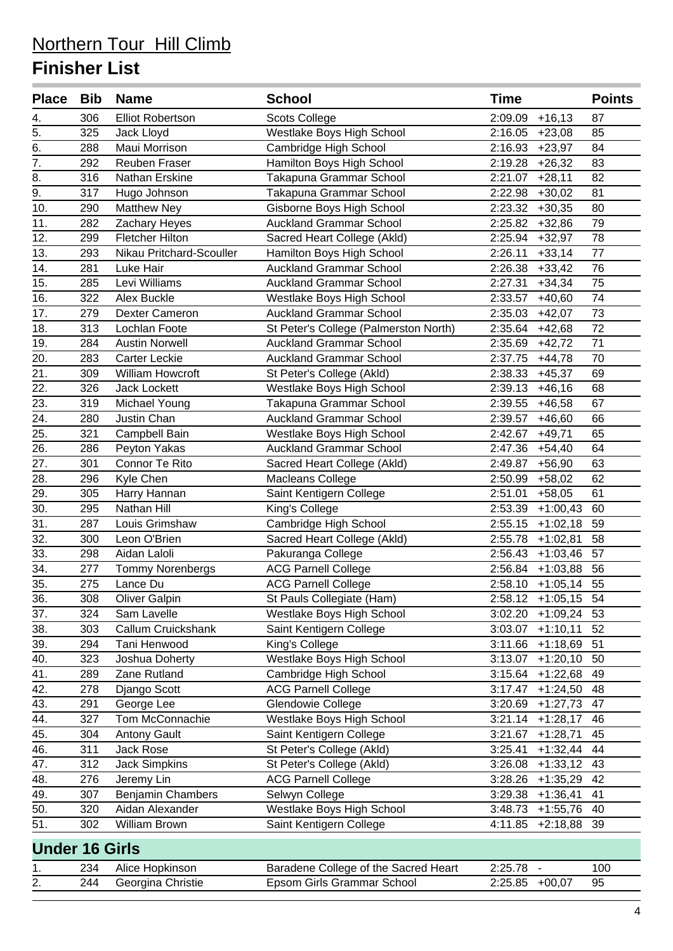| Place Bib             |     | <b>Name</b>              | <b>School</b>                         | <b>Time</b>           | <b>Points</b> |
|-----------------------|-----|--------------------------|---------------------------------------|-----------------------|---------------|
| 4.                    | 306 | <b>Elliot Robertson</b>  | <b>Scots College</b>                  | 2:09.09<br>$+16,13$   | 87            |
| $\overline{5}$ .      | 325 | Jack Lloyd               | Westlake Boys High School             | $2:16.05$ +23,08      | 85            |
| 6.                    | 288 | Maui Morrison            | Cambridge High School                 | 2:16.93<br>$+23,97$   | 84            |
| $\overline{7}$ .      | 292 | <b>Reuben Fraser</b>     | Hamilton Boys High School             | 2:19.28<br>$+26,32$   | 83            |
| 8.                    | 316 | Nathan Erskine           | Takapuna Grammar School               | 2:21.07<br>$+28,11$   | 82            |
| 9.                    | 317 | Hugo Johnson             | Takapuna Grammar School               | 2:22.98<br>$+30,02$   | 81            |
| 10.                   | 290 | <b>Matthew Ney</b>       | Gisborne Boys High School             | 2:23.32<br>$+30,35$   | 80            |
| 11.                   | 282 | Zachary Heyes            | <b>Auckland Grammar School</b>        | 2:25.82<br>$+32,86$   | 79            |
| 12.                   | 299 | <b>Fletcher Hilton</b>   | Sacred Heart College (Akld)           | 2:25.94<br>$+32,97$   | 78            |
| 13.                   | 293 | Nikau Pritchard-Scouller | Hamilton Boys High School             | 2:26.11<br>$+33,14$   | 77            |
| 14.                   | 281 | Luke Hair                | <b>Auckland Grammar School</b>        | $+33,42$<br>2:26.38   | 76            |
| 15.                   | 285 | Levi Williams            | <b>Auckland Grammar School</b>        | 2:27.31<br>$+34,34$   | 75            |
| 16.                   | 322 | <b>Alex Buckle</b>       | Westlake Boys High School             | 2:33.57<br>$+40,60$   | 74            |
| 17.                   | 279 | Dexter Cameron           | <b>Auckland Grammar School</b>        | 2:35.03<br>$+42,07$   | 73            |
| 18.                   | 313 | Lochlan Foote            | St Peter's College (Palmerston North) | 2:35.64<br>$+42,68$   | 72            |
| 19.                   | 284 | <b>Austin Norwell</b>    | <b>Auckland Grammar School</b>        | 2:35.69<br>$+42,72$   | 71            |
| 20.                   | 283 | <b>Carter Leckie</b>     | <b>Auckland Grammar School</b>        | 2:37.75<br>$+44,78$   | 70            |
| $\overline{21}$ .     | 309 | William Howcroft         | St Peter's College (Akld)             | 2:38.33<br>$+45,37$   | 69            |
| 22.                   | 326 | <b>Jack Lockett</b>      | Westlake Boys High School             | 2:39.13<br>$+46,16$   | 68            |
| 23.                   | 319 | Michael Young            | Takapuna Grammar School               | 2:39.55<br>$+46,58$   | 67            |
| 24.                   | 280 | Justin Chan              | <b>Auckland Grammar School</b>        | 2:39.57<br>$+46,60$   | 66            |
| 25.                   | 321 | Campbell Bain            | Westlake Boys High School             | 2:42.67<br>$+49,71$   | 65            |
| 26.                   | 286 | Peyton Yakas             | <b>Auckland Grammar School</b>        | 2:47.36<br>$+54,40$   | 64            |
| 27.                   | 301 | Connor Te Rito           | Sacred Heart College (Akld)           | 2:49.87<br>$+56,90$   | 63            |
| 28.                   | 296 | Kyle Chen                | Macleans College                      | 2:50.99<br>$+58,02$   | 62            |
| 29.                   | 305 | Harry Hannan             | Saint Kentigern College               | 2:51.01<br>$+58,05$   | 61            |
| 30.                   | 295 | Nathan Hill              | King's College                        | 2:53.39<br>$+1:00,43$ | 60            |
| $\overline{31}$ .     | 287 | Louis Grimshaw           | Cambridge High School                 | 2:55.15<br>$+1:02,18$ | 59            |
| 32.                   | 300 | Leon O'Brien             | Sacred Heart College (Akld)           | 2:55.78<br>$+1:02,81$ | 58            |
| 33.                   | 298 | Aidan Laloli             | Pakuranga College                     | 2:56.43<br>$+1:03,46$ | 57            |
| 34.                   | 277 | <b>Tommy Norenbergs</b>  | <b>ACG Parnell College</b>            | 2:56.84<br>$+1:03,88$ | 56            |
| 35.                   | 275 | Lance Du                 | <b>ACG Parnell College</b>            | 2:58.10 +1:05,14 55   |               |
| 36.                   | 308 | <b>Oliver Galpin</b>     | St Pauls Collegiate (Ham)             | $2:58.12 +1:05,15$    | 54            |
| 37.                   | 324 | Sam Lavelle              | Westlake Boys High School             | 3:02.20<br>$+1:09,24$ | 53            |
| 38.                   | 303 | Callum Cruickshank       | Saint Kentigern College               | 3:03.07<br>$+1:10,11$ | 52            |
| 39.                   | 294 | Tani Henwood             | King's College                        | 3:11.66<br>$+1:18,69$ | 51            |
| 40.                   | 323 | Joshua Doherty           | Westlake Boys High School             | 3:13.07<br>$+1:20,10$ | 50            |
| 41.                   | 289 | Zane Rutland             | Cambridge High School                 | 3:15.64<br>$+1:22,68$ | 49            |
| 42.                   | 278 | Django Scott             | <b>ACG Parnell College</b>            | 3:17.47<br>$+1:24,50$ | 48            |
| 43.                   | 291 | George Lee               | Glendowie College                     | 3:20.69<br>$+1:27,73$ | 47            |
| 44.                   | 327 | Tom McConnachie          | Westlake Boys High School             | 3:21.14<br>$+1:28,17$ | 46            |
| 45.                   | 304 | <b>Antony Gault</b>      | Saint Kentigern College               | 3:21.67<br>$+1:28,71$ | 45            |
| 46.                   | 311 | <b>Jack Rose</b>         | St Peter's College (Akld)             | 3:25.41<br>$+1:32,44$ | 44            |
| 47.                   | 312 | <b>Jack Simpkins</b>     | St Peter's College (Akld)             | 3:26.08<br>$+1:33,12$ | 43            |
| 48.                   | 276 | Jeremy Lin               | <b>ACG Parnell College</b>            | 3:28.26<br>$+1:35,29$ | 42            |
| 49.                   | 307 | <b>Benjamin Chambers</b> | Selwyn College                        | 3:29.38<br>$+1:36,41$ | 41            |
| 50.                   | 320 | Aidan Alexander          | Westlake Boys High School             | 3:48.73<br>$+1:55,76$ | 40            |
| 51.                   | 302 | William Brown            | Saint Kentigern College               | 4:11.85<br>$+2:18,88$ | 39            |
| <b>Under 16 Girls</b> |     |                          |                                       |                       |               |
| 1.                    | 234 | Alice Hopkinson          | Baradene College of the Sacred Heart  | 2:25.78               | 100           |
| 2.                    | 244 | Georgina Christie        | Epsom Girls Grammar School            | 2:25.85<br>$+00,07$   | 95            |
|                       |     |                          |                                       |                       |               |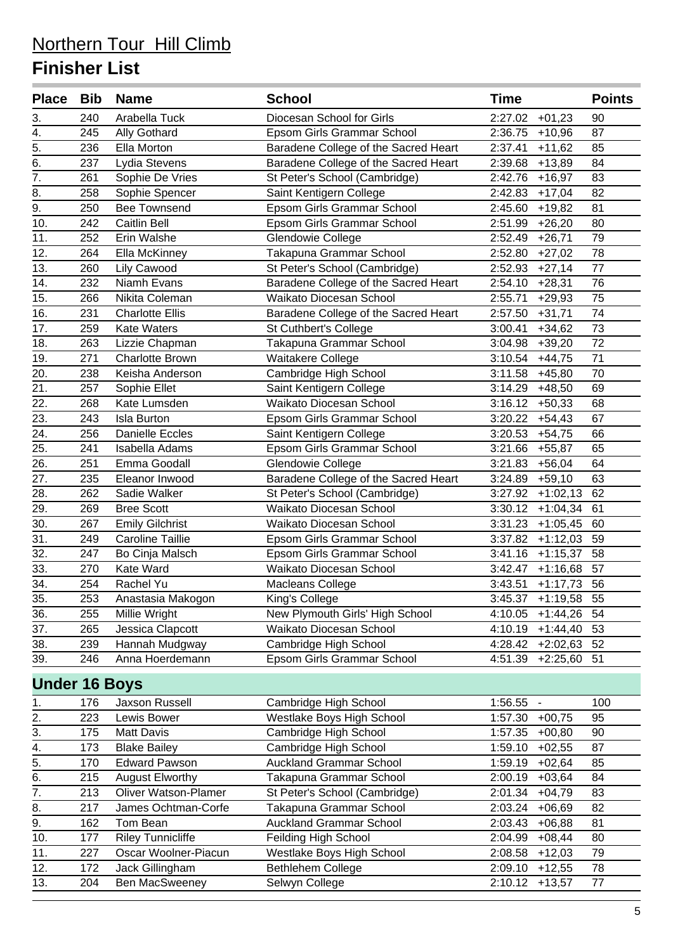| Place Bib Name       |            |                                                   | <b>School</b>                                            | <b>Time</b>                                    | <b>Points</b> |
|----------------------|------------|---------------------------------------------------|----------------------------------------------------------|------------------------------------------------|---------------|
| 3.                   | 240        | Arabella Tuck                                     | Diocesan School for Girls                                | 2:27.02<br>$+01,23$                            | 90            |
| 4.                   | 245        | Ally Gothard                                      | Epsom Girls Grammar School                               | 2:36.75<br>$+10,96$                            | 87            |
| 5.                   | 236        | Ella Morton                                       | Baradene College of the Sacred Heart                     | 2:37.41<br>$+11,62$                            | 85            |
| $\overline{6}$ .     | 237        | Lydia Stevens                                     | Baradene College of the Sacred Heart                     | 2:39.68<br>$+13,89$                            | 84            |
| $\overline{7}$ .     | 261        | Sophie De Vries                                   | St Peter's School (Cambridge)                            | 2:42.76<br>$+16,97$                            | 83            |
| 8.                   | 258        | Sophie Spencer                                    | Saint Kentigern College                                  | 2:42.83<br>$+17,04$                            | 82            |
| $\overline{9}$ .     | 250        | <b>Bee Townsend</b>                               | Epsom Girls Grammar School                               | 2:45.60<br>$+19,82$                            | 81            |
| 10.                  | 242        | <b>Caitlin Bell</b>                               | Epsom Girls Grammar School                               | 2:51.99<br>$+26,20$                            | 80            |
| 11.                  | 252        | Erin Walshe                                       | Glendowie College                                        | 2:52.49<br>$+26,71$                            | 79            |
| 12.                  | 264        | Ella McKinney                                     | Takapuna Grammar School                                  | 2:52.80<br>$+27,02$                            | 78            |
| 13.                  | 260        | Lily Cawood                                       | St Peter's School (Cambridge)                            | 2:52.93<br>$+27,14$                            | 77            |
| 14.                  | 232        | Niamh Evans                                       | Baradene College of the Sacred Heart                     | 2:54.10<br>$+28,31$                            | 76            |
| 15.                  | 266        | Nikita Coleman                                    | Waikato Diocesan School                                  | 2:55.71<br>$+29,93$                            | 75            |
| 16.                  | 231        | <b>Charlotte Ellis</b>                            | Baradene College of the Sacred Heart                     | 2:57.50<br>$+31,71$                            | 74            |
| 17.                  | 259        | <b>Kate Waters</b>                                | St Cuthbert's College                                    | 3:00.41<br>$+34,62$                            | 73            |
| 18.                  | 263        | Lizzie Chapman                                    | Takapuna Grammar School                                  | 3:04.98<br>$+39,20$                            | 72            |
| 19.                  | 271        | <b>Charlotte Brown</b>                            | Waitakere College                                        | 3:10.54<br>$+44,75$                            | 71            |
| 20.                  | 238        | Keisha Anderson                                   | Cambridge High School                                    | 3:11.58<br>$+45,80$                            | 70            |
| 21.                  | 257        | Sophie Ellet                                      | Saint Kentigern College                                  | 3:14.29<br>$+48,50$                            | 69            |
| 22.                  | 268        | Kate Lumsden                                      | Waikato Diocesan School                                  | 3:16.12<br>$+50,33$                            | 68            |
| 23.                  | 243        | <b>Isla Burton</b>                                | Epsom Girls Grammar School                               | 3:20.22<br>$+54,43$                            | 67            |
| 24.                  | 256        | <b>Danielle Eccles</b>                            | Saint Kentigern College                                  | 3:20.53<br>$+54,75$                            | 66            |
| 25.                  | 241        | <b>Isabella Adams</b>                             | Epsom Girls Grammar School                               | 3:21.66<br>$+55,87$                            | 65            |
| 26.                  | 251        | Emma Goodall                                      | Glendowie College                                        | 3:21.83<br>$+56,04$                            | 64            |
| 27.                  | 235        | Eleanor Inwood                                    | Baradene College of the Sacred Heart                     | 3:24.89<br>$+59,10$                            | 63            |
| 28.                  | 262        | Sadie Walker                                      | St Peter's School (Cambridge)                            | 3:27.92<br>$+1:02,13$                          | 62            |
| 29.                  | 269        | <b>Bree Scott</b>                                 | Waikato Diocesan School                                  | 3:30.12<br>$+1:04,34$                          | 61            |
| 30.                  | 267        | <b>Emily Gilchrist</b><br><b>Caroline Taillie</b> | Waikato Diocesan School                                  | 3:31.23<br>$+1:05,45$                          | 60            |
| 31.<br>32.           | 249<br>247 | Bo Cinja Malsch                                   | Epsom Girls Grammar School<br>Epsom Girls Grammar School | 3:37.82<br>$+1:12,03$<br>3:41.16<br>$+1:15,37$ | 59<br>58      |
| 33.                  | 270        | Kate Ward                                         | Waikato Diocesan School                                  | 3:42.47<br>$+1:16,68$                          | 57            |
| 34.                  | 254        | Rachel Yu                                         | Macleans College                                         | 3:43.51<br>$+1:17,73$                          | 56            |
| 35.                  | 253        | Anastasia Makogon                                 | King's College                                           | 3:45.37<br>$+1:19,58$                          | 55            |
| 36.                  | 255        | Millie Wright                                     | New Plymouth Girls' High School                          | 4:10.05<br>$+1:44,26$                          | 54            |
| 37.                  | 265        | Jessica Clapcott                                  | Waikato Diocesan School                                  | 4:10.19<br>$+1:44,40$                          | 53            |
| 38.                  | 239        | Hannah Mudgway                                    | Cambridge High School                                    | 4:28.42<br>$+2:02,63$                          | 52            |
| 39.                  | 246        | Anna Hoerdemann                                   | Epsom Girls Grammar School                               | 4:51.39<br>$+2:25,60$                          | 51            |
|                      |            |                                                   |                                                          |                                                |               |
| <b>Under 16 Boys</b> |            |                                                   |                                                          |                                                |               |
| 1.                   | 176        | Jaxson Russell                                    | Cambridge High School                                    | 1:56.55<br>$\blacksquare$                      | 100           |
| $\overline{2}$ .     | 223        | Lewis Bower                                       | Westlake Boys High School                                | 1:57.30<br>$+00,75$                            | 95            |
| 3.                   | 175        | <b>Matt Davis</b>                                 | Cambridge High School                                    | 1:57.35<br>$+00,80$                            | 90            |
| 4.                   | 173        | <b>Blake Bailey</b>                               | Cambridge High School                                    | 1:59.10<br>$+02,55$                            | 87            |
| 5.                   | 170        | <b>Edward Pawson</b>                              | <b>Auckland Grammar School</b>                           | 1:59.19<br>$+02,64$                            | 85            |
| 6.                   | 215        | <b>August Elworthy</b>                            | Takapuna Grammar School                                  | 2:00.19<br>$+03,64$                            | 84            |
| 7.                   | 213        | <b>Oliver Watson-Plamer</b>                       | St Peter's School (Cambridge)                            | 2:01.34<br>$+04,79$                            | 83            |
| 8.                   | 217        | James Ochtman-Corfe                               | Takapuna Grammar School                                  | 2:03.24<br>$+06,69$                            | 82            |
| 9.                   | 162        | Tom Bean                                          | <b>Auckland Grammar School</b>                           | 2:03.43<br>$+06,88$                            | 81            |
| 10.                  | 177        | <b>Riley Tunnicliffe</b>                          | Feilding High School                                     | 2:04.99<br>$+08,44$                            | 80            |
| 11.                  | 227        | Oscar Woolner-Piacun                              | Westlake Boys High School                                | 2:08.58<br>$+12,03$                            | 79            |
| 12.                  | 172        | Jack Gillingham                                   | Bethlehem College                                        | 2:09.10<br>$+12,55$                            | 78            |
| 13.                  | 204        | Ben MacSweeney                                    | Selwyn College                                           | 2:10.12<br>$+13,57$                            | 77            |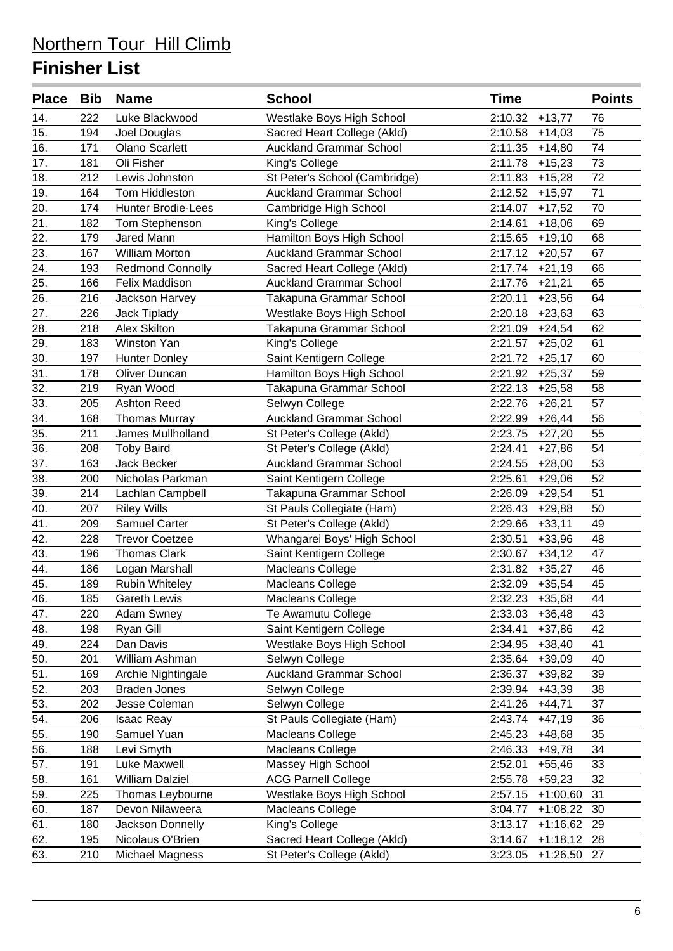| <b>Place</b>      | Bib | <b>Name</b>               | <b>School</b>                  | <b>Time</b>              | <b>Points</b> |
|-------------------|-----|---------------------------|--------------------------------|--------------------------|---------------|
| 14.               | 222 | Luke Blackwood            | Westlake Boys High School      | 2:10.32<br>$+13,77$      | 76            |
| 15.               | 194 | Joel Douglas              | Sacred Heart College (Akld)    | 2:10.58<br>$+14,03$      | 75            |
| 16.               | 171 | <b>Olano Scarlett</b>     | <b>Auckland Grammar School</b> | 2:11.35<br>$+14,80$      | 74            |
| 17.               | 181 | Oli Fisher                | King's College                 | 2:11.78<br>$+15,23$      | 73            |
| 18.               | 212 | Lewis Johnston            | St Peter's School (Cambridge)  | 2:11.83<br>$+15,28$      | 72            |
| 19.               | 164 | Tom Hiddleston            | <b>Auckland Grammar School</b> | 2:12.52<br>$+15,97$      | 71            |
| 20.               | 174 | <b>Hunter Brodie-Lees</b> | Cambridge High School          | 2:14.07<br>$+17,52$      | 70            |
| 21.               | 182 | Tom Stephenson            | King's College                 | 2:14.61<br>$+18,06$      | 69            |
| 22.               | 179 | Jared Mann                | Hamilton Boys High School      | 2:15.65<br>$+19,10$      | 68            |
| 23.               | 167 | <b>William Morton</b>     | <b>Auckland Grammar School</b> | 2:17.12<br>$+20,57$      | 67            |
| 24.               | 193 | <b>Redmond Connolly</b>   | Sacred Heart College (Akld)    | 2:17.74<br>$+21,19$      | 66            |
| 25.               | 166 | Felix Maddison            | <b>Auckland Grammar School</b> | 2:17.76<br>$+21,21$      | 65            |
| 26.               | 216 | Jackson Harvey            | Takapuna Grammar School        | 2:20.11<br>$+23,56$      | 64            |
| 27.               | 226 | Jack Tiplady              | Westlake Boys High School      | 2:20.18<br>$+23,63$      | 63            |
| 28.               | 218 | <b>Alex Skilton</b>       | Takapuna Grammar School        | 2:21.09<br>$+24,54$      | 62            |
| 29.               | 183 | Winston Yan               | King's College                 | 2:21.57<br>$+25,02$      | 61            |
| 30.               | 197 | <b>Hunter Donley</b>      | Saint Kentigern College        | 2:21.72<br>$+25,17$      | 60            |
| 31.               | 178 | Oliver Duncan             | Hamilton Boys High School      | 2:21.92<br>$+25,37$      | 59            |
| 32.               | 219 | Ryan Wood                 | Takapuna Grammar School        | 2:22.13<br>$+25,58$      | 58            |
| 33.               | 205 | <b>Ashton Reed</b>        | Selwyn College                 | 2:22.76<br>$+26,21$      | 57            |
| 34.               | 168 | <b>Thomas Murray</b>      | <b>Auckland Grammar School</b> | 2:22.99<br>$+26,44$      | 56            |
| 35.               | 211 | James Mullholland         | St Peter's College (Akld)      | 2:23.75<br>$+27,20$      | 55            |
| 36.               | 208 | <b>Toby Baird</b>         | St Peter's College (Akld)      | 2:24.41<br>$+27,86$      | 54            |
| 37.               | 163 | Jack Becker               | <b>Auckland Grammar School</b> | 2:24.55<br>$+28,00$      | 53            |
| 38.               | 200 | Nicholas Parkman          | Saint Kentigern College        | 2:25.61<br>$+29,06$      | 52            |
| 39.               | 214 | Lachlan Campbell          | Takapuna Grammar School        | 2:26.09<br>$+29,54$      | 51            |
| 40.               | 207 | <b>Riley Wills</b>        | St Pauls Collegiate (Ham)      | 2:26.43<br>$+29,88$      | 50            |
| $\overline{41}$ . | 209 | <b>Samuel Carter</b>      | St Peter's College (Akld)      | 2:29.66<br>$+33,11$      | 49            |
| 42.               | 228 | <b>Trevor Coetzee</b>     | Whangarei Boys' High School    | 2:30.51<br>$+33,96$      | 48            |
| 43.               | 196 | <b>Thomas Clark</b>       | Saint Kentigern College        | 2:30.67<br>$+34,12$      | 47            |
| 44.               | 186 | Logan Marshall            | Macleans College               | 2:31.82<br>$+35,27$      | 46            |
| $\overline{45}$ . | 189 | <b>Rubin Whiteley</b>     | Macleans College               | 2:32.09<br>$+35,54$      | 45            |
| 46.               | 185 | <b>Gareth Lewis</b>       | Macleans College               | 2:32.23<br>$+35,68$      | 44            |
| 47.               | 220 | <b>Adam Swney</b>         | Te Awamutu College             | 2:33.03<br>$+36,48$      | 43            |
| 48.               | 198 | Ryan Gill                 | Saint Kentigern College        | 2:34.41<br>$+37,86$      | 42            |
| 49.               | 224 | Dan Davis                 | Westlake Boys High School      | 2:34.95<br>$+38,40$      | 41            |
| 50.               | 201 | William Ashman            | Selwyn College                 | 2:35.64<br>$+39,09$      | 40            |
| 51.               | 169 | Archie Nightingale        | <b>Auckland Grammar School</b> | 2:36.37<br>$+39,82$      | 39            |
| 52.               | 203 | <b>Braden Jones</b>       | Selwyn College                 | 2:39.94<br>$+43,39$      | 38            |
| 53.               | 202 | Jesse Coleman             | Selwyn College                 | 2:41.26<br>$+44,71$      | 37            |
| $\overline{54}$ . | 206 | <b>Isaac Reay</b>         | St Pauls Collegiate (Ham)      | 2:43.74<br>$+47,19$      | 36            |
| 55.               | 190 | Samuel Yuan               | Macleans College               | 2:45.23<br>$+48,68$      | 35            |
| 56.               | 188 | Levi Smyth                | Macleans College               | 2:46.33<br>$+49,78$      | 34            |
| 57.               | 191 | Luke Maxwell              | Massey High School             | 2:52.01<br>$+55,46$      | 33            |
| 58.               | 161 | <b>William Dalziel</b>    | <b>ACG Parnell College</b>     | 2:55.78<br>$+59,23$      | 32            |
| 59.               | 225 | Thomas Leybourne          | Westlake Boys High School      | 2:57.15<br>$+1:00,60$    | 31            |
| 60.               | 187 | Devon Nilaweera           | Macleans College               | 3:04.77<br>$+1:08,22$    | 30            |
| 61.               | 180 | Jackson Donnelly          | King's College                 | 3:13.17<br>$+1:16,62$    | 29            |
| 62.               | 195 | Nicolaus O'Brien          | Sacred Heart College (Akld)    | 3:14.67<br>$+1:18,12$    | 28            |
| 63.               | 210 | Michael Magness           | St Peter's College (Akld)      | 3:23.05<br>$+1:26,50$ 27 |               |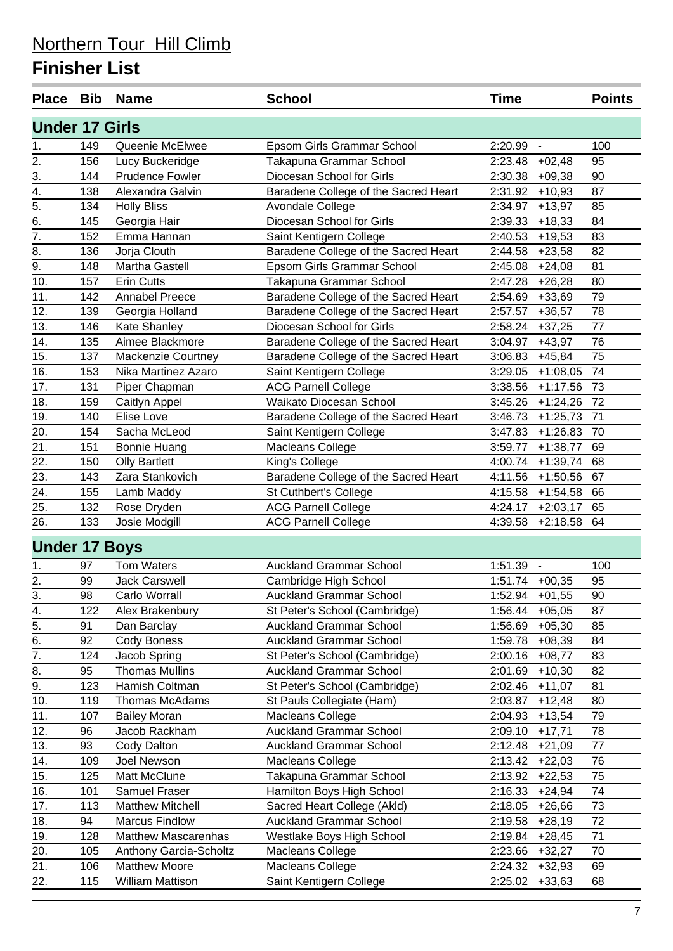| <b>Place</b>          | Bib | <b>Name</b>                | <b>School</b>                        | <b>Time</b>                         | <b>Points</b> |
|-----------------------|-----|----------------------------|--------------------------------------|-------------------------------------|---------------|
| <b>Under 17 Girls</b> |     |                            |                                      |                                     |               |
| 1.                    | 149 | Queenie McElwee            | Epsom Girls Grammar School           | 2:20.99<br>$\blacksquare$           | 100           |
| 2.                    | 156 | Lucy Buckeridge            | Takapuna Grammar School              | 2:23.48<br>$+02,48$                 | 95            |
| 3.                    | 144 | <b>Prudence Fowler</b>     | Diocesan School for Girls            | 2:30.38<br>$+09,38$                 | 90            |
| 4.                    | 138 | Alexandra Galvin           | Baradene College of the Sacred Heart | 2:31.92<br>$+10,93$                 | 87            |
| $\overline{5}$ .      | 134 | <b>Holly Bliss</b>         | Avondale College                     | 2:34.97<br>$+13,97$                 | 85            |
| 6.                    | 145 | Georgia Hair               | Diocesan School for Girls            | 2:39.33<br>$+18,33$                 | 84            |
| $\overline{7}$ .      | 152 | Emma Hannan                | Saint Kentigern College              | $+19,53$<br>2:40.53                 | 83            |
| 8.                    | 136 | Jorja Clouth               | Baradene College of the Sacred Heart | 2:44.58<br>$+23,58$                 | 82            |
| 9.                    | 148 | Martha Gastell             | Epsom Girls Grammar School           | 2:45.08<br>$+24,08$                 | 81            |
| 10.                   | 157 | <b>Erin Cutts</b>          | Takapuna Grammar School              | 2:47.28<br>$+26,28$                 | 80            |
| 11.                   | 142 | <b>Annabel Preece</b>      | Baradene College of the Sacred Heart | 2:54.69<br>$+33,69$                 | 79            |
| 12.                   | 139 | Georgia Holland            | Baradene College of the Sacred Heart | 2:57.57<br>$+36,57$                 | 78            |
| 13.                   | 146 | Kate Shanley               | Diocesan School for Girls            | 2:58.24<br>$+37,25$                 | 77            |
| 14.                   | 135 | Aimee Blackmore            | Baradene College of the Sacred Heart | 3:04.97<br>$+43,97$                 | 76            |
| 15.                   | 137 | Mackenzie Courtney         | Baradene College of the Sacred Heart | 3:06.83<br>$+45,84$                 | 75            |
| 16.                   | 153 | Nika Martinez Azaro        | Saint Kentigern College              | 3:29.05<br>$+1:08,05$               | 74            |
| 17.                   | 131 | Piper Chapman              | <b>ACG Parnell College</b>           | 3:38.56<br>$+1:17,56$               | 73            |
| 18.                   | 159 | Caitlyn Appel              | Waikato Diocesan School              | 3:45.26<br>$+1:24,26$               | 72            |
| 19.                   | 140 | Elise Love                 | Baradene College of the Sacred Heart | 3:46.73<br>$+1:25,73$               | 71            |
| 20.                   | 154 | Sacha McLeod               | Saint Kentigern College              | 3:47.83<br>$+1:26,83$               | 70            |
| 21.                   | 151 | <b>Bonnie Huang</b>        | Macleans College                     | 3:59.77<br>$+1:38,77$               | 69            |
| 22.                   | 150 | <b>Olly Bartlett</b>       | King's College                       | 4:00.74<br>$+1:39,74$               | 68            |
| 23.                   | 143 | Zara Stankovich            | Baradene College of the Sacred Heart | 4:11.56<br>$+1:50,56$               | 67            |
| 24.                   | 155 | Lamb Maddy                 | St Cuthbert's College                | 4:15.58<br>$+1:54,58$               | 66            |
| 25.                   | 132 | Rose Dryden                | <b>ACG Parnell College</b>           | 4:24.17<br>$+2:03,17$               | 65            |
| 26.                   | 133 | Josie Modgill              | <b>ACG Parnell College</b>           | 4:39.58<br>$+2:18,58$               | 64            |
| <b>Under 17 Boys</b>  |     |                            |                                      |                                     |               |
| 1.                    | 97  | <b>Tom Waters</b>          | <b>Auckland Grammar School</b>       | 1:51.39<br>$\overline{\phantom{a}}$ | 100           |
| 2.                    | 99  | <b>Jack Carswell</b>       | Cambridge High School                | 1:51.74<br>$+00,35$                 | 95            |
| 3.                    | 98  | Carlo Worrall              | <b>Auckland Grammar School</b>       | 1:52.94 +01,55                      | 90            |
| 4.                    | 122 | Alex Brakenbury            | St Peter's School (Cambridge)        | $1:56.44$ +05,05                    | 87            |
| 5.                    | 91  | Dan Barclay                | <b>Auckland Grammar School</b>       | 1:56.69<br>$+05,30$                 | 85            |
| 6.                    | 92  | Cody Boness                | <b>Auckland Grammar School</b>       | 1:59.78<br>$+08,39$                 | 84            |
| 7.                    | 124 | Jacob Spring               | St Peter's School (Cambridge)        | 2:00.16<br>$+08,77$                 | 83            |
| 8.                    | 95  | <b>Thomas Mullins</b>      | <b>Auckland Grammar School</b>       | 2:01.69<br>$+10,30$                 | 82            |
| 9.                    | 123 | Hamish Coltman             | St Peter's School (Cambridge)        | 2:02.46<br>$+11,07$                 | 81            |
| 10.                   | 119 | Thomas McAdams             | St Pauls Collegiate (Ham)            | 2:03.87<br>$+12,48$                 | 80            |
| 11.                   | 107 | <b>Bailey Moran</b>        | Macleans College                     | 2:04.93<br>$+13,54$                 | 79            |
| 12.                   | 96  | Jacob Rackham              | <b>Auckland Grammar School</b>       | 2:09.10<br>$+17,71$                 | 78            |
| 13.                   | 93  | Cody Dalton                | <b>Auckland Grammar School</b>       | 2:12.48<br>$+21,09$                 | 77            |
| 14.                   | 109 | Joel Newson                | Macleans College                     | 2:13.42<br>$+22,03$                 | 76            |
| 15.                   | 125 | Matt McClune               | Takapuna Grammar School              | 2:13.92<br>$+22,53$                 | 75            |
| 16.                   | 101 | Samuel Fraser              | Hamilton Boys High School            | 2:16.33<br>$+24,94$                 | 74            |
| 17.                   | 113 | <b>Matthew Mitchell</b>    | Sacred Heart College (Akld)          | 2:18.05<br>$+26,66$                 | 73            |
| 18.                   | 94  | <b>Marcus Findlow</b>      | <b>Auckland Grammar School</b>       | 2:19.58<br>$+28,19$                 | 72            |
| 19.                   | 128 | <b>Matthew Mascarenhas</b> | Westlake Boys High School            | 2:19.84<br>$+28,45$                 | 71            |
| 20.                   | 105 | Anthony Garcia-Scholtz     | Macleans College                     | 2:23.66<br>$+32,27$                 | 70            |
| 21.                   | 106 | <b>Matthew Moore</b>       | Macleans College                     | 2:24.32<br>$+32,93$                 | 69            |
| 22.                   | 115 | William Mattison           | Saint Kentigern College              | $2:25.02$ +33,63                    | 68            |
|                       |     |                            |                                      |                                     |               |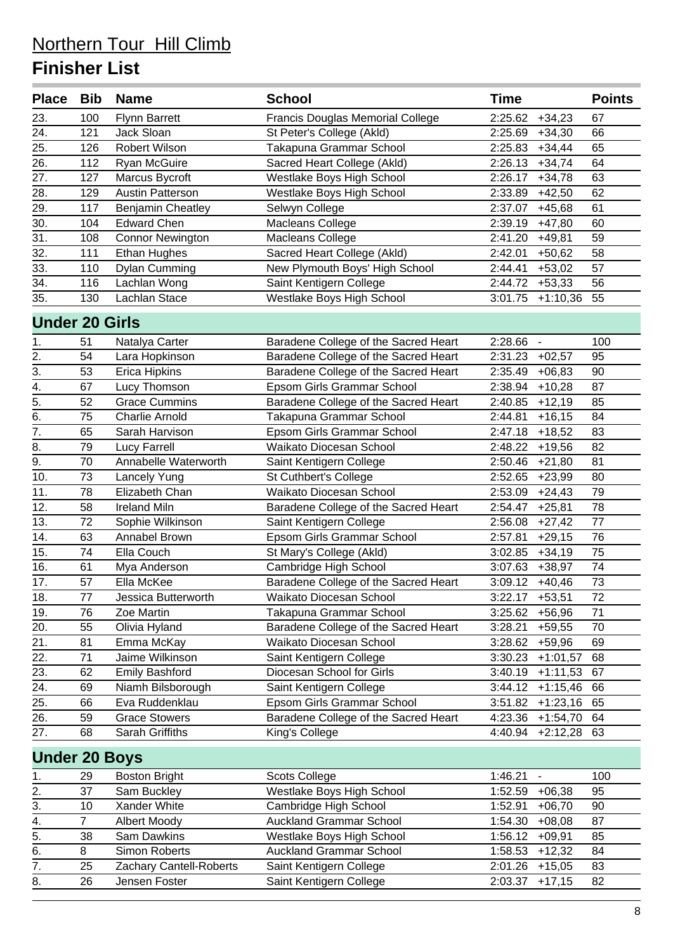| <b>Place</b>          | <b>Bib</b>     | <b>Name</b>              | <b>School</b>                           | <b>Time</b> |                          | <b>Points</b> |
|-----------------------|----------------|--------------------------|-----------------------------------------|-------------|--------------------------|---------------|
| 23.                   | 100            | <b>Flynn Barrett</b>     | <b>Francis Douglas Memorial College</b> | 2:25.62     | $+34,23$                 | 67            |
| 24.                   | 121            | Jack Sloan               | St Peter's College (Akld)               | 2:25.69     | $+34,30$                 | 66            |
| 25.                   | 126            | Robert Wilson            | Takapuna Grammar School                 | 2:25.83     | $+34,44$                 | 65            |
| 26.                   | 112            | <b>Ryan McGuire</b>      | Sacred Heart College (Akld)             | 2:26.13     | $+34,74$                 | 64            |
| 27.                   | 127            | Marcus Bycroft           | Westlake Boys High School               | 2:26.17     | $+34,78$                 | 63            |
| 28.                   | 129            | <b>Austin Patterson</b>  | Westlake Boys High School               | 2:33.89     | $+42,50$                 | 62            |
| 29.                   | 117            | <b>Benjamin Cheatley</b> | Selwyn College                          | 2:37.07     | $+45,68$                 | 61            |
| $\overline{30}$ .     | 104            | <b>Edward Chen</b>       | Macleans College                        | 2:39.19     | $+47,80$                 | 60            |
| 31.                   | 108            | <b>Connor Newington</b>  | Macleans College                        | 2:41.20     | $+49,81$                 | 59            |
| 32.                   | 111            | Ethan Hughes             | Sacred Heart College (Akld)             | 2:42.01     | $+50,62$                 | 58            |
| 33.                   | 110            | Dylan Cumming            | New Plymouth Boys' High School          | 2:44.41     | $+53,02$                 | 57            |
| 34.                   | 116            | Lachlan Wong             | Saint Kentigern College                 | 2:44.72     | $+53,33$                 | 56            |
| 35.                   | 130            | Lachlan Stace            | Westlake Boys High School               | 3:01.75     | $+1:10,36$               | 55            |
| <b>Under 20 Girls</b> |                |                          |                                         |             |                          |               |
| 1.                    | 51             | Natalya Carter           | Baradene College of the Sacred Heart    | 2:28.66     | $\blacksquare$           | 100           |
| $\overline{2}$ .      | 54             | Lara Hopkinson           | Baradene College of the Sacred Heart    | 2:31.23     | $+02,57$                 | 95            |
| $\overline{3}$ .      | 53             | <b>Erica Hipkins</b>     | Baradene College of the Sacred Heart    | 2:35.49     | $+06,83$                 | 90            |
| 4.                    | 67             | Lucy Thomson             | Epsom Girls Grammar School              | 2:38.94     | $+10,28$                 | 87            |
| $\overline{5}$ .      | 52             | <b>Grace Cummins</b>     | Baradene College of the Sacred Heart    | 2:40.85     | $+12,19$                 | 85            |
| 6.                    | 75             | <b>Charlie Arnold</b>    | Takapuna Grammar School                 | 2:44.81     | $+16,15$                 | 84            |
| 7.                    | 65             | Sarah Harvison           | Epsom Girls Grammar School              | 2:47.18     | $+18,52$                 | 83            |
| 8.                    | 79             | <b>Lucy Farrell</b>      | Waikato Diocesan School                 | 2:48.22     | $+19,56$                 | 82            |
| $\overline{9}$ .      | 70             | Annabelle Waterworth     | Saint Kentigern College                 | 2:50.46     | $+21,80$                 | 81            |
| 10.                   | 73             | Lancely Yung             | St Cuthbert's College                   | 2:52.65     | $+23,99$                 | 80            |
| 11.                   | 78             | Elizabeth Chan           | Waikato Diocesan School                 | 2:53.09     | $+24,43$                 | 79            |
| 12.                   | 58             | <b>Ireland Miln</b>      | Baradene College of the Sacred Heart    | 2:54.47     | $+25,81$                 | 78            |
| 13.                   | 72             | Sophie Wilkinson         | Saint Kentigern College                 | 2:56.08     | $+27,42$                 | 77            |
| 14.                   | 63             | Annabel Brown            | Epsom Girls Grammar School              | 2:57.81     | $+29,15$                 | 76            |
| 15.                   | 74             | Ella Couch               | St Mary's College (Akld)                | 3:02.85     | $+34,19$                 | 75            |
| 16.                   | 61             | Mya Anderson             | Cambridge High School                   | 3:07.63     | $+38,97$                 | 74            |
| 17.                   | 57             | Ella McKee               | Baradene College of the Sacred Heart    | 3:09.12     | $+40,46$                 | 73            |
| 18.                   | 77             | Jessica Butterworth      | Waikato Diocesan School                 | 3:22.17     | $+53,51$                 | 72            |
| 19.                   | 76             | Zoe Martin               | Takapuna Grammar School                 | 3:25.62     | $+56,96$                 | 71            |
| 20.                   | 55             | Olivia Hyland            | Baradene College of the Sacred Heart    | 3:28.21     | $+59,55$                 | 70            |
| 21.                   | 81             | Emma McKay               | Waikato Diocesan School                 | 3:28.62     | $+59,96$                 | 69            |
| 22.                   | 71             | Jaime Wilkinson          | Saint Kentigern College                 | 3:30.23     | $+1:01,57$               | 68            |
| 23.                   | 62             | <b>Emily Bashford</b>    | Diocesan School for Girls               | 3:40.19     | $+1:11,53$               | 67            |
| 24.                   | 69             | Niamh Bilsborough        | Saint Kentigern College                 | 3:44.12     | $+1:15,46$               | 66            |
| 25.                   | 66             | Eva Ruddenklau           | Epsom Girls Grammar School              | 3:51.82     | $+1:23,16$               | 65            |
| $\overline{26}$ .     | 59             | <b>Grace Stowers</b>     | Baradene College of the Sacred Heart    | 4:23.36     | $+1:54,70$               | 64            |
| 27.                   | 68             | <b>Sarah Griffiths</b>   | King's College                          | 4:40.94     | $+2:12,28$               | 63            |
| <b>Under 20 Boys</b>  |                |                          |                                         |             |                          |               |
| 1.                    | 29             | <b>Boston Bright</b>     | <b>Scots College</b>                    | 1:46.21     | $\overline{\phantom{a}}$ | 100           |
| $\overline{2}$ .      | 37             | Sam Buckley              | Westlake Boys High School               | 1:52.59     | $+06,38$                 | 95            |
| 3.                    | 10             | Xander White             | Cambridge High School                   | 1:52.91     | $+06,70$                 | 90            |
| 4.                    | $\overline{7}$ | Albert Moody             | <b>Auckland Grammar School</b>          | 1:54.30     | $+08,08$                 | 87            |
| $\overline{5}$ .      | 38             | Sam Dawkins              | Westlake Boys High School               | 1:56.12     | $+09,91$                 | 85            |
| $\overline{6}$ .      | 8              | <b>Simon Roberts</b>     | <b>Auckland Grammar School</b>          | 1:58.53     | $+12,32$                 | 84            |
| 7.                    | 25             | Zachary Cantell-Roberts  | Saint Kentigern College                 | 2:01.26     | $+15,05$                 | 83            |
| 8.                    | 26             | Jensen Foster            | Saint Kentigern College                 | 2:03.37     | $+17,15$                 | 82            |